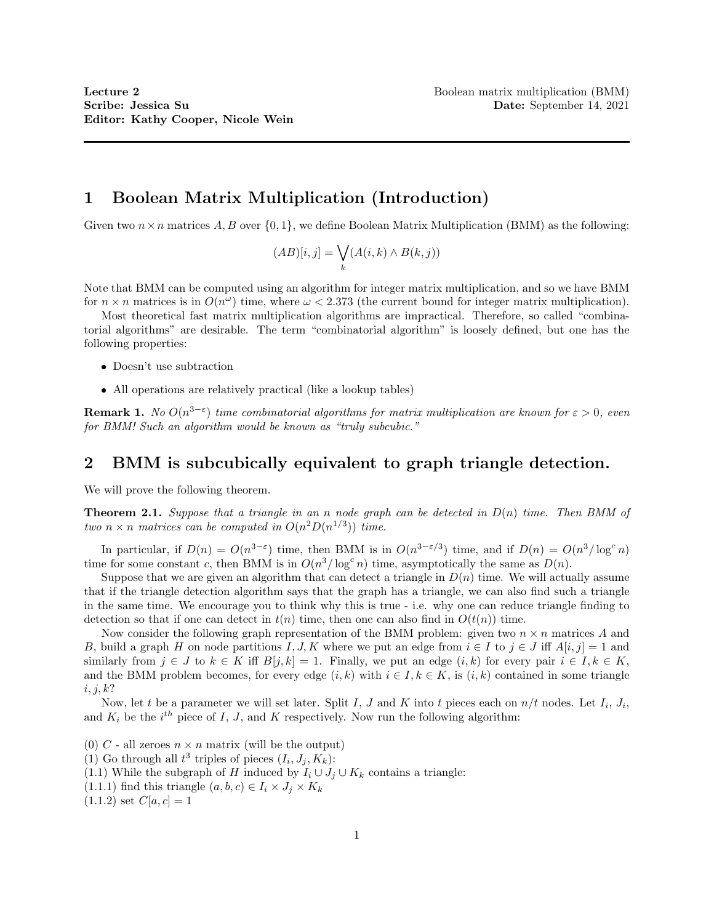# 1 Boolean Matrix Multiplication (Introduction)

Given two  $n \times n$  matrices  $A, B$  over  $\{0, 1\}$ , we define Boolean Matrix Multiplication (BMM) as the following:

$$
(AB)[i,j] = \bigvee_k (A(i,k) \wedge B(k,j))
$$

Note that BMM can be computed using an algorithm for integer matrix multiplication, and so we have BMM for  $n \times n$  matrices is in  $O(n^{\omega})$  time, where  $\omega < 2.373$  (the current bound for integer matrix multiplication).

Most theoretical fast matrix multiplication algorithms are impractical. Therefore, so called "combinatorial algorithms" are desirable. The term "combinatorial algorithm" is loosely defined, but one has the following properties:

- Doesn't use subtraction
- All operations are relatively practical (like a lookup tables)

**Remark 1.** No  $O(n^{3-\epsilon})$  time combinatorial algorithms for matrix multiplication are known for  $\epsilon > 0$ , even for BMM! Such an algorithm would be known as "truly subcubic."

## 2 BMM is subcubically equivalent to graph triangle detection.

We will prove the following theorem.

**Theorem 2.1.** Suppose that a triangle in an n node graph can be detected in  $D(n)$  time. Then BMM of two  $n \times n$  matrices can be computed in  $O(n^2D(n^{1/3}))$  time.

In particular, if  $D(n) = O(n^{3-\epsilon})$  time, then BMM is in  $O(n^{3-\epsilon/3})$  time, and if  $D(n) = O(n^3/\log^c n)$ time for some constant c, then BMM is in  $O(n^3/\log^c n)$  time, asymptotically the same as  $D(n)$ .

Suppose that we are given an algorithm that can detect a triangle in  $D(n)$  time. We will actually assume that if the triangle detection algorithm says that the graph has a triangle, we can also find such a triangle in the same time. We encourage you to think why this is true - i.e. why one can reduce triangle finding to detection so that if one can detect in  $t(n)$  time, then one can also find in  $O(t(n))$  time.

Now consider the following graph representation of the BMM problem: given two  $n \times n$  matrices A and B, build a graph H on node partitions I, J, K where we put an edge from  $i \in I$  to  $j \in J$  iff  $A[i, j] = 1$  and similarly from  $j \in J$  to  $k \in K$  iff  $B[j, k] = 1$ . Finally, we put an edge  $(i, k)$  for every pair  $i \in I, k \in K$ , and the BMM problem becomes, for every edge  $(i, k)$  with  $i \in I, k \in K$ , is  $(i, k)$  contained in some triangle  $i, j, k$ ?

Now, let t be a parameter we will set later. Split I, J and K into t pieces each on  $n/t$  nodes. Let  $I_i$ ,  $J_i$ , and  $K_i$  be the  $i^{th}$  piece of I, J, and K respectively. Now run the following algorithm:

(0) C - all zeroes  $n \times n$  matrix (will be the output) (1) Go through all  $t^3$  triples of pieces  $(I_i, J_j, K_k)$ : (1.1) While the subgraph of H induced by  $I_i \cup J_j \cup K_k$  contains a triangle: (1.1.1) find this triangle  $(a, b, c) \in I_i \times J_j \times K_k$  $(1.1.2)$  set  $C[a, c] = 1$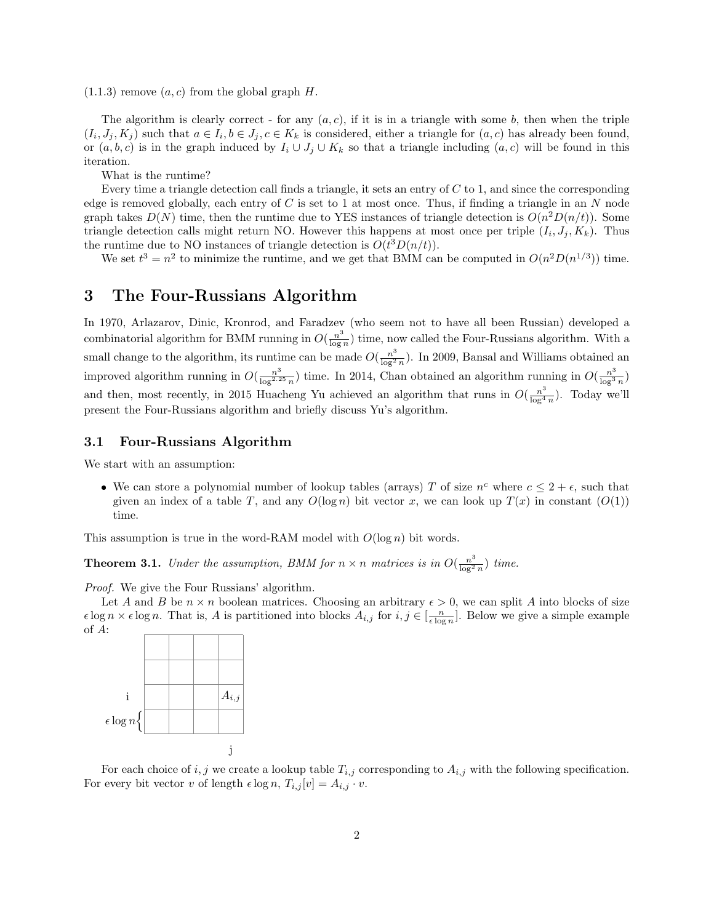$(1.1.3)$  remove  $(a, c)$  from the global graph H.

The algorithm is clearly correct - for any  $(a, c)$ , if it is in a triangle with some b, then when the triple  $(I_i, J_j, K_j)$  such that  $a \in I_i, b \in J_j, c \in K_k$  is considered, either a triangle for  $(a, c)$  has already been found, or  $(a, b, c)$  is in the graph induced by  $I_i \cup J_j \cup K_k$  so that a triangle including  $(a, c)$  will be found in this iteration.

What is the runtime?

Every time a triangle detection call finds a triangle, it sets an entry of  $C$  to 1, and since the corresponding edge is removed globally, each entry of  $C$  is set to 1 at most once. Thus, if finding a triangle in an  $N$  node graph takes  $D(N)$  time, then the runtime due to YES instances of triangle detection is  $O(n^2D(n/t))$ . Some triangle detection calls might return NO. However this happens at most once per triple  $(I_i, J_j, K_k)$ . Thus the runtime due to NO instances of triangle detection is  $O(t^3D(n/t))$ .

We set  $t^3 = n^2$  to minimize the runtime, and we get that BMM can be computed in  $O(n^2D(n^{1/3}))$  time.

### 3 The Four-Russians Algorithm

In 1970, Arlazarov, Dinic, Kronrod, and Faradzev (who seem not to have all been Russian) developed a combinatorial algorithm for BMM running in  $O(\frac{n^3}{\log n})$  $\frac{n^{\circ}}{\log n}$ ) time, now called the Four-Russians algorithm. With a small change to the algorithm, its runtime can be made  $O(\frac{n^3}{\log^2 n})$  $\frac{n^{\circ}}{\log^2 n}$ ). In 2009, Bansal and Williams obtained an improved algorithm running in  $O(\frac{n^3}{\log^2 3})$  $\frac{n^3}{\log^{2.25} n}$ ) time. In 2014, Chan obtained an algorithm running in  $O(\frac{n^3}{\log^3})$  $\frac{n^5}{\log^3 n}$ and then, most recently, in 2015 Huacheng Yu achieved an algorithm that runs in  $O(\frac{n^3}{\log 4})$  $\frac{n^{\circ}}{\log^4 n}$ ). Today we'll present the Four-Russians algorithm and briefly discuss Yu's algorithm.

#### 3.1 Four-Russians Algorithm

We start with an assumption:

• We can store a polynomial number of lookup tables (arrays) T of size  $n^c$  where  $c \leq 2 + \epsilon$ , such that given an index of a table T, and any  $O(\log n)$  bit vector x, we can look up  $T(x)$  in constant  $(O(1))$ time.

This assumption is true in the word-RAM model with  $O(\log n)$  bit words.

**Theorem 3.1.** Under the assumption, BMM for  $n \times n$  matrices is in  $O(\frac{n^3}{\log^2 n})$  $\frac{n^{\circ}}{\log^2 n}$ ) time.

Proof. We give the Four Russians' algorithm.

Let A and B be  $n \times n$  boolean matrices. Choosing an arbitrary  $\epsilon > 0$ , we can split A into blocks of size  $\epsilon \log n \times \epsilon \log n$ . That is, A is partitioned into blocks  $A_{i,j}$  for  $i, j \in [\frac{n}{\epsilon \log n}]$ . Below we give a simple example of A:



For each choice of i, j we create a lookup table  $T_{i,j}$  corresponding to  $A_{i,j}$  with the following specification. For every bit vector v of length  $\epsilon \log n$ ,  $T_{i,j}[v] = A_{i,j} \cdot v$ .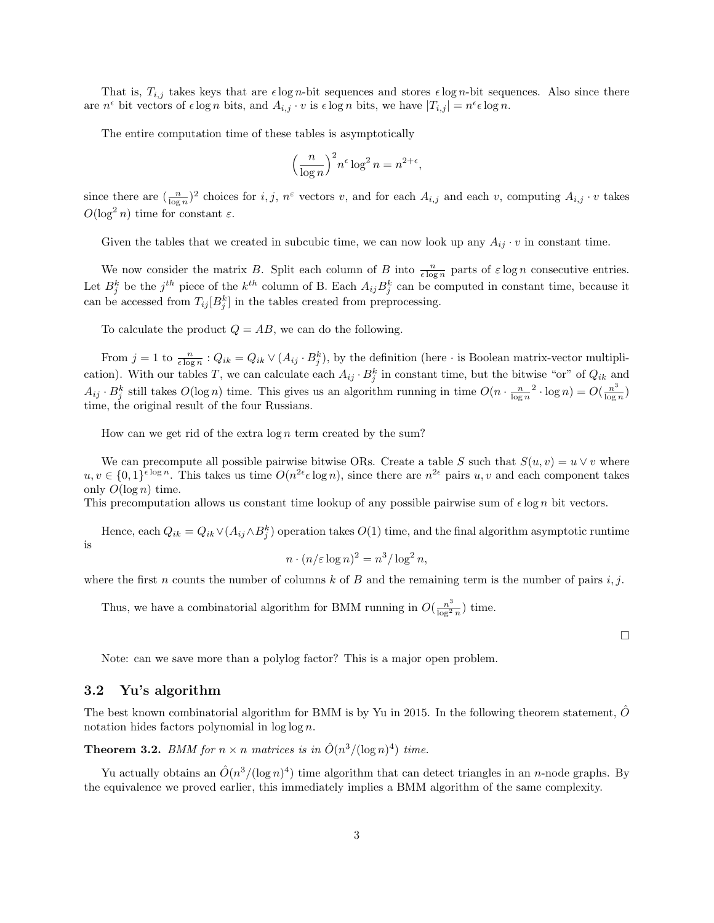That is,  $T_{i,j}$  takes keys that are  $\epsilon \log n$ -bit sequences and stores  $\epsilon \log n$ -bit sequences. Also since there are  $n^{\epsilon}$  bit vectors of  $\epsilon \log n$  bits, and  $A_{i,j} \cdot v$  is  $\epsilon \log n$  bits, we have  $|T_{i,j}| = n^{\epsilon} \epsilon \log n$ .

The entire computation time of these tables is asymptotically

$$
\left(\frac{n}{\log n}\right)^2 n^{\epsilon} \log^2 n = n^{2+\epsilon},
$$

since there are  $(\frac{n}{\log n})^2$  choices for i, j,  $n^{\varepsilon}$  vectors v, and for each  $A_{i,j}$  and each v, computing  $A_{i,j} \cdot v$  takes  $O(\log^2 n)$  time for constant  $\varepsilon$ .

Given the tables that we created in subcubic time, we can now look up any  $A_{ij} \cdot v$  in constant time.

We now consider the matrix B. Split each column of B into  $\frac{n}{\epsilon \log n}$  parts of  $\epsilon \log n$  consecutive entries. Let  $B_j^k$  be the  $j^{th}$  piece of the  $k^{th}$  column of B. Each  $A_{ij}B_j^k$  can be computed in constant time, because it can be accessed from  $T_{ij}[B_j^k]$  in the tables created from preprocessing.

To calculate the product  $Q = AB$ , we can do the following.

From  $j = 1$  to  $\frac{n}{\epsilon \log n}$ :  $Q_{ik} = Q_{ik} \vee (A_{ij} \cdot B_j^k)$ , by the definition (here  $\cdot$  is Boolean matrix-vector multiplication). With our tables T, we can calculate each  $A_{ij} \cdot B_j^k$  in constant time, but the bitwise "or" of  $Q_{ik}$  and  $A_{ij} \cdot B_j^k$  still takes  $O(\log n)$  time. This gives us an algorithm running in time  $O(n \cdot \frac{n}{\log n}^2 \cdot \log n) = O(\frac{n^3}{\log n})$  $\frac{n^{\circ}}{\log n}$ time, the original result of the four Russians.

How can we get rid of the extra  $\log n$  term created by the sum?

We can precompute all possible pairwise bitwise ORs. Create a table S such that  $S(u, v) = u \vee v$  where  $u, v \in \{0,1\}^{\epsilon \log n}$ . This takes us time  $O(n^{2\epsilon} \epsilon \log n)$ , since there are  $n^{2\epsilon}$  pairs  $u, v$  and each component takes only  $O(\log n)$  time.

This precomputation allows us constant time lookup of any possible pairwise sum of  $\epsilon \log n$  bit vectors.

Hence, each  $Q_{ik} = Q_{ik} \vee (A_{ij} \wedge B_j^k)$  operation takes  $O(1)$  time, and the final algorithm asymptotic runtime is

$$
n \cdot (n/\varepsilon \log n)^2 = n^3/\log^2 n,
$$

where the first n counts the number of columns k of B and the remaining term is the number of pairs  $i, j$ .

Thus, we have a combinatorial algorithm for BMM running in  $O(\frac{n^3}{\log^2})$  $\frac{n^{\circ}}{\log^2 n}$ ) time.

 $\Box$ 

Note: can we save more than a polylog factor? This is a major open problem.

#### 3.2 Yu's algorithm

The best known combinatorial algorithm for BMM is by Yu in 2015. In the following theorem statement,  $\hat{O}$ notation hides factors polynomial in log log n.

**Theorem 3.2.** BMM for  $n \times n$  matrices is in  $\hat{O}(n^3/(\log n)^4)$  time.

Yu actually obtains an  $\hat{O}(n^3/(\log n)^4)$  time algorithm that can detect triangles in an n-node graphs. By the equivalence we proved earlier, this immediately implies a BMM algorithm of the same complexity.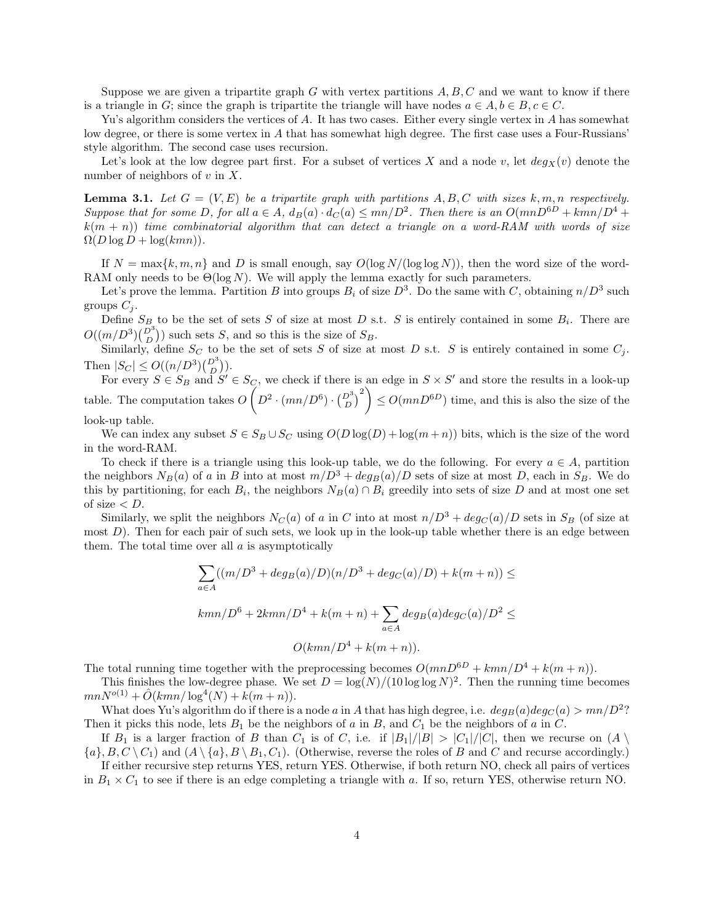Suppose we are given a tripartite graph G with vertex partitions  $A, B, C$  and we want to know if there is a triangle in G; since the graph is tripartite the triangle will have nodes  $a \in A, b \in B, c \in C$ .

Yu's algorithm considers the vertices of A. It has two cases. Either every single vertex in A has somewhat low degree, or there is some vertex in A that has somewhat high degree. The first case uses a Four-Russians' style algorithm. The second case uses recursion.

Let's look at the low degree part first. For a subset of vertices X and a node v, let  $deg_X(v)$  denote the number of neighbors of  $v$  in  $X$ .

**Lemma 3.1.** Let  $G = (V, E)$  be a tripartite graph with partitions  $A, B, C$  with sizes  $k, m, n$  respectively. Suppose that for some D, for all  $a \in A$ ,  $d_B(a) \cdot d_C(a) \le mn/D^2$ . Then there is an  $O(mnD^{6D} + kmn/D^4 +$  $k(m + n)$ ) time combinatorial algorithm that can detect a triangle on a word-RAM with words of size  $\Omega(D \log D + \log(kmn)).$ 

If  $N = \max\{k, m, n\}$  and D is small enough, say  $O(\log N/(\log \log N))$ , then the word size of the word-RAM only needs to be  $\Theta(\log N)$ . We will apply the lemma exactly for such parameters.

Let's prove the lemma. Partition B into groups  $B_i$  of size  $D^3$ . Do the same with C, obtaining  $n/D^3$  such groups  $C_i$ .

Define  $S_B$  to be the set of sets S of size at most D s.t. S is entirely contained in some  $B_i$ . There are  $O((m/D^3){D^3 \choose D})$  such sets S, and so this is the size of  $S_B$ .

Similarly, define  $S_C$  to be the set of sets S of size at most D s.t. S is entirely contained in some  $C_j$ . Then  $|S_C| \le O((n/D^3) {D^3 \choose D}).$ 

For every  $S \in S_B$  and  $S' \in S_C$ , we check if there is an edge in  $S \times S'$  and store the results in a look-up table. The computation takes  $O\left(D^2\cdot(mn/D^6)\cdot\binom{D^3}{D}^2\right)\leq O(mnD^{6D})$  time, and this is also the size of the look-up table.

We can index any subset  $S \in S_B \cup S_C$  using  $O(D \log(D) + \log(m+n))$  bits, which is the size of the word in the word-RAM.

To check if there is a triangle using this look-up table, we do the following. For every  $a \in A$ , partition the neighbors  $N_B(a)$  of a in B into at most  $m/D^3 + deg_B(a)/D$  sets of size at most D, each in  $S_B$ . We do this by partitioning, for each  $B_i$ , the neighbors  $N_B(a) \cap B_i$  greedily into sets of size D and at most one set of size  $< D$ .

Similarly, we split the neighbors  $N_C(a)$  of a in C into at most  $n/D^3 + deg_C(a)/D$  sets in  $S_B$  (of size at most  $D$ ). Then for each pair of such sets, we look up in the look-up table whether there is an edge between them. The total time over all  $\alpha$  is asymptotically

$$
\sum_{a \in A} ((m/D^3 + deg_B(a)/D)(n/D^3 + deg_C(a)/D) + k(m+n)) \le
$$
  
\n
$$
kmn/D^6 + 2kmn/D^4 + k(m+n) + \sum_{a \in A} deg_B(a)deg_C(a)/D^2 \le
$$
  
\n
$$
O(kmn/D^4 + k(m+n)).
$$

The total running time together with the preprocessing becomes  $O(mnD^{6D} + kmn/D^4 + k(m+n))$ .

This finishes the low-degree phase. We set  $D = \log(N)/(10 \log \log N)^2$ . Then the running time becomes  $mnN^{o(1)} + \hat{O}(kmn/\log^4(N) + k(m+n)).$ 

What does Yu's algorithm do if there is a node a in A that has high degree, i.e.  $deg_B(a)deg_C(a) > mn/D^2$ ? Then it picks this node, lets  $B_1$  be the neighbors of a in B, and  $C_1$  be the neighbors of a in C.

If  $B_1$  is a larger fraction of B than  $C_1$  is of C, i.e. if  $|B_1|/|B| > |C_1|/|C|$ , then we recurse on  $(A \setminus$  $\{a\}, B, C \setminus C_1$  and  $(A \setminus \{a\}, B \setminus B_1, C_1)$ . (Otherwise, reverse the roles of B and C and recurse accordingly.)

If either recursive step returns YES, return YES. Otherwise, if both return NO, check all pairs of vertices in  $B_1 \times C_1$  to see if there is an edge completing a triangle with a. If so, return YES, otherwise return NO.